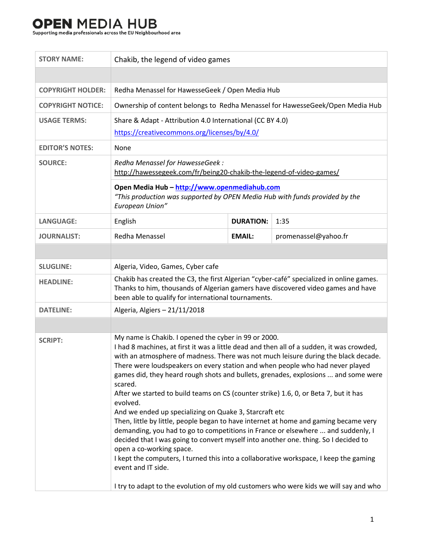## 

| <b>STORY NAME:</b>       | Chakib, the legend of video games                                                                                                                                                                                                                                                                                                                                                                                                                                                                                                                                                                                                                                                                                                                                                                                                                                                                                                                                                                                                                                                              |                  |                      |  |
|--------------------------|------------------------------------------------------------------------------------------------------------------------------------------------------------------------------------------------------------------------------------------------------------------------------------------------------------------------------------------------------------------------------------------------------------------------------------------------------------------------------------------------------------------------------------------------------------------------------------------------------------------------------------------------------------------------------------------------------------------------------------------------------------------------------------------------------------------------------------------------------------------------------------------------------------------------------------------------------------------------------------------------------------------------------------------------------------------------------------------------|------------------|----------------------|--|
|                          |                                                                                                                                                                                                                                                                                                                                                                                                                                                                                                                                                                                                                                                                                                                                                                                                                                                                                                                                                                                                                                                                                                |                  |                      |  |
| <b>COPYRIGHT HOLDER:</b> | Redha Menassel for HawesseGeek / Open Media Hub                                                                                                                                                                                                                                                                                                                                                                                                                                                                                                                                                                                                                                                                                                                                                                                                                                                                                                                                                                                                                                                |                  |                      |  |
| <b>COPYRIGHT NOTICE:</b> | Ownership of content belongs to Redha Menassel for HawesseGeek/Open Media Hub                                                                                                                                                                                                                                                                                                                                                                                                                                                                                                                                                                                                                                                                                                                                                                                                                                                                                                                                                                                                                  |                  |                      |  |
| <b>USAGE TERMS:</b>      | Share & Adapt - Attribution 4.0 International (CC BY 4.0)<br>https://creativecommons.org/licenses/by/4.0/                                                                                                                                                                                                                                                                                                                                                                                                                                                                                                                                                                                                                                                                                                                                                                                                                                                                                                                                                                                      |                  |                      |  |
| <b>EDITOR'S NOTES:</b>   | None                                                                                                                                                                                                                                                                                                                                                                                                                                                                                                                                                                                                                                                                                                                                                                                                                                                                                                                                                                                                                                                                                           |                  |                      |  |
| <b>SOURCE:</b>           | Redha Menassel for HawesseGeek:<br>http://hawessegeek.com/fr/being20-chakib-the-legend-of-video-games/                                                                                                                                                                                                                                                                                                                                                                                                                                                                                                                                                                                                                                                                                                                                                                                                                                                                                                                                                                                         |                  |                      |  |
|                          | Open Media Hub - http://www.openmediahub.com<br>"This production was supported by OPEN Media Hub with funds provided by the<br>European Union"                                                                                                                                                                                                                                                                                                                                                                                                                                                                                                                                                                                                                                                                                                                                                                                                                                                                                                                                                 |                  |                      |  |
| <b>LANGUAGE:</b>         | English                                                                                                                                                                                                                                                                                                                                                                                                                                                                                                                                                                                                                                                                                                                                                                                                                                                                                                                                                                                                                                                                                        | <b>DURATION:</b> | 1:35                 |  |
| <b>JOURNALIST:</b>       | Redha Menassel                                                                                                                                                                                                                                                                                                                                                                                                                                                                                                                                                                                                                                                                                                                                                                                                                                                                                                                                                                                                                                                                                 | <b>EMAIL:</b>    | promenassel@yahoo.fr |  |
|                          |                                                                                                                                                                                                                                                                                                                                                                                                                                                                                                                                                                                                                                                                                                                                                                                                                                                                                                                                                                                                                                                                                                |                  |                      |  |
| <b>SLUGLINE:</b>         | Algeria, Video, Games, Cyber cafe                                                                                                                                                                                                                                                                                                                                                                                                                                                                                                                                                                                                                                                                                                                                                                                                                                                                                                                                                                                                                                                              |                  |                      |  |
| <b>HEADLINE:</b>         | Chakib has created the C3, the first Algerian "cyber-café" specialized in online games.<br>Thanks to him, thousands of Algerian gamers have discovered video games and have<br>been able to qualify for international tournaments.                                                                                                                                                                                                                                                                                                                                                                                                                                                                                                                                                                                                                                                                                                                                                                                                                                                             |                  |                      |  |
| <b>DATELINE:</b>         | Algeria, Algiers - 21/11/2018                                                                                                                                                                                                                                                                                                                                                                                                                                                                                                                                                                                                                                                                                                                                                                                                                                                                                                                                                                                                                                                                  |                  |                      |  |
|                          |                                                                                                                                                                                                                                                                                                                                                                                                                                                                                                                                                                                                                                                                                                                                                                                                                                                                                                                                                                                                                                                                                                |                  |                      |  |
| <b>SCRIPT:</b>           | My name is Chakib. I opened the cyber in 99 or 2000.<br>I had 8 machines, at first it was a little dead and then all of a sudden, it was crowded,<br>with an atmosphere of madness. There was not much leisure during the black decade.<br>There were loudspeakers on every station and when people who had never played<br>games did, they heard rough shots and bullets, grenades, explosions  and some were<br>scared.<br>After we started to build teams on CS (counter strike) 1.6, 0, or Beta 7, but it has<br>evolved.<br>And we ended up specializing on Quake 3, Starcraft etc<br>Then, little by little, people began to have internet at home and gaming became very<br>demanding, you had to go to competitions in France or elsewhere  and suddenly, I<br>decided that I was going to convert myself into another one. thing. So I decided to<br>open a co-working space.<br>I kept the computers, I turned this into a collaborative workspace, I keep the gaming<br>event and IT side.<br>I try to adapt to the evolution of my old customers who were kids we will say and who |                  |                      |  |